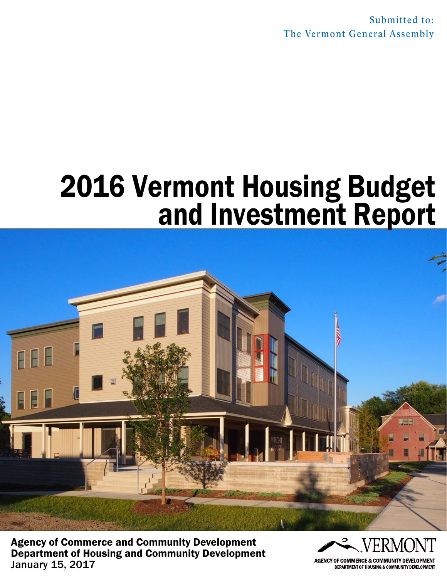Submitted to: The Vermont General Assembly

# 2016 Vermont Housing Budget and Investment Report



Agency of Commerce and Community Development Department of Housing and Community Development January 15, 2017



**DEPARTMENT OF HOUSING & COMMUNITY DEVELOPMENT**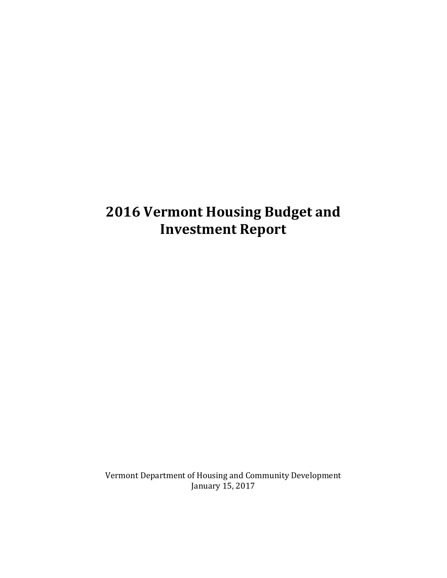# **2016 Vermont Housing Budget and Investment Report**

Vermont Department of Housing and Community Development January 15, 2017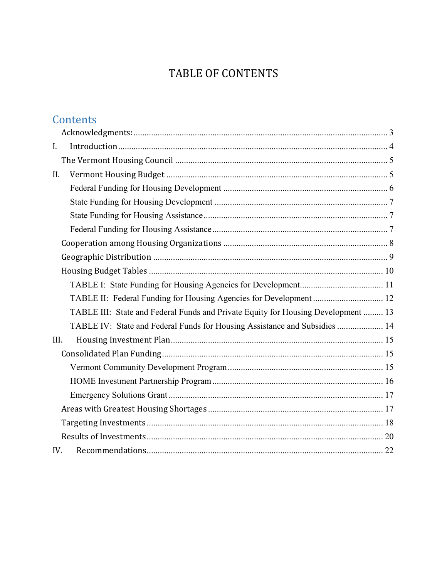# TABLE OF CONTENTS

# Contents

| $I_{\cdot}$                                                                       |
|-----------------------------------------------------------------------------------|
|                                                                                   |
| II.                                                                               |
|                                                                                   |
|                                                                                   |
|                                                                                   |
|                                                                                   |
|                                                                                   |
|                                                                                   |
|                                                                                   |
|                                                                                   |
| TABLE II: Federal Funding for Housing Agencies for Development  12                |
| TABLE III: State and Federal Funds and Private Equity for Housing Development  13 |
| TABLE IV: State and Federal Funds for Housing Assistance and Subsidies  14        |
| III.                                                                              |
|                                                                                   |
|                                                                                   |
|                                                                                   |
|                                                                                   |
|                                                                                   |
|                                                                                   |
|                                                                                   |
| IV.                                                                               |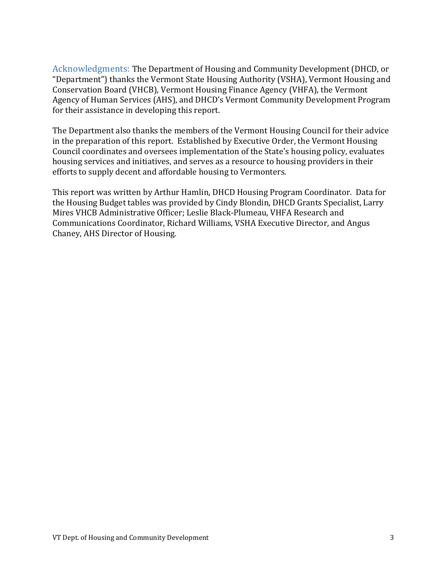<span id="page-3-0"></span>Acknowledgments: The Department of Housing and Community Development (DHCD, or "Department") thanks the Vermont State Housing Authority (VSHA), Vermont Housing and Conservation Board (VHCB), Vermont Housing Finance Agency (VHFA), the Vermont Agency of Human Services (AHS), and DHCD's Vermont Community Development Program for their assistance in developing this report.

The Department also thanks the members of the Vermont Housing Council for their advice in the preparation of this report. Established by Executive Order, the Vermont Housing Council coordinates and oversees implementation of the State's housing policy, evaluates housing services and initiatives, and serves as a resource to housing providers in their efforts to supply decent and affordable housing to Vermonters.

This report was written by Arthur Hamlin, DHCD Housing Program Coordinator. Data for the Housing Budget tables was provided by Cindy Blondin, DHCD Grants Specialist, Larry Mires VHCB Administrative Officer; Leslie Black-Plumeau, VHFA Research and Communications Coordinator, Richard Williams, VSHA Executive Director, and Angus Chaney, AHS Director of Housing.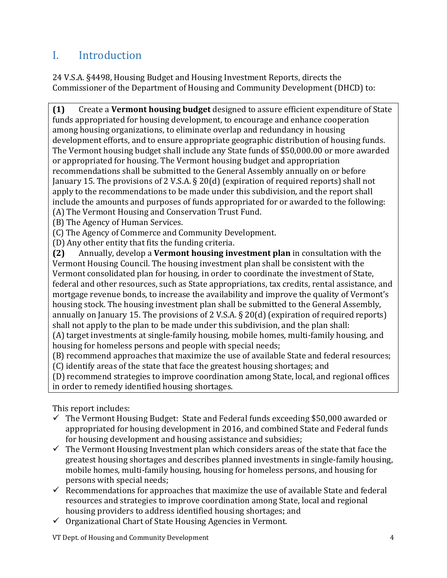# <span id="page-4-0"></span>I. Introduction

24 V.S.A. §4498, Housing Budget and Housing Investment Reports, directs the Commissioner of the Department of Housing and Community Development (DHCD) to:

**(1)** Create a **Vermont housing budget** designed to assure efficient expenditure of State funds appropriated for housing development, to encourage and enhance cooperation among housing organizations, to eliminate overlap and redundancy in housing development efforts, and to ensure appropriate geographic distribution of housing funds. The Vermont housing budget shall include any State funds of \$50,000.00 or more awarded or appropriated for housing. The Vermont housing budget and appropriation recommendations shall be submitted to the General Assembly annually on or before January 15. The provisions of 2 V.S.A. § 20(d) (expiration of required reports) shall not apply to the recommendations to be made under this subdivision, and the report shall include the amounts and purposes of funds appropriated for or awarded to the following: (A) The Vermont Housing and Conservation Trust Fund.

(B) The Agency of Human Services.

(C) The Agency of Commerce and Community Development.

(D) Any other entity that fits the funding criteria.<br>(2) Annually, develop a **Vermont housing inv (2)** Annually, develop a **Vermont housing investment plan** in consultation with the Vermont Housing Council. The housing investment plan shall be consistent with the Vermont consolidated plan for housing, in order to coordinate the investment of State, federal and other resources, such as State appropriations, tax credits, rental assistance, and mortgage revenue bonds, to increase the availability and improve the quality of Vermont's housing stock. The housing investment plan shall be submitted to the General Assembly, annually on January 15. The provisions of 2 V.S.A. § 20(d) (expiration of required reports) shall not apply to the plan to be made under this subdivision, and the plan shall:

(A) target investments at single-family housing, mobile homes, multi-family housing, and housing for homeless persons and people with special needs;

(B) recommend approaches that maximize the use of available State and federal resources; (C) identify areas of the state that face the greatest housing shortages; and

(D) recommend strategies to improve coordination among State, local, and regional offices in order to remedy identified housing shortages.

This report includes:

- $\checkmark$  The Vermont Housing Budget: State and Federal funds exceeding \$50,000 awarded or appropriated for housing development in 2016, and combined State and Federal funds for housing development and housing assistance and subsidies;
- $\checkmark$  The Vermont Housing Investment plan which considers areas of the state that face the greatest housing shortages and describes planned investments in single-family housing, mobile homes, multi-family housing, housing for homeless persons, and housing for persons with special needs;
- $\checkmark$  Recommendations for approaches that maximize the use of available State and federal resources and strategies to improve coordination among State, local and regional housing providers to address identified housing shortages; and
- $\checkmark$  Organizational Chart of State Housing Agencies in Vermont.

VT Dept. of Housing and Community Development 4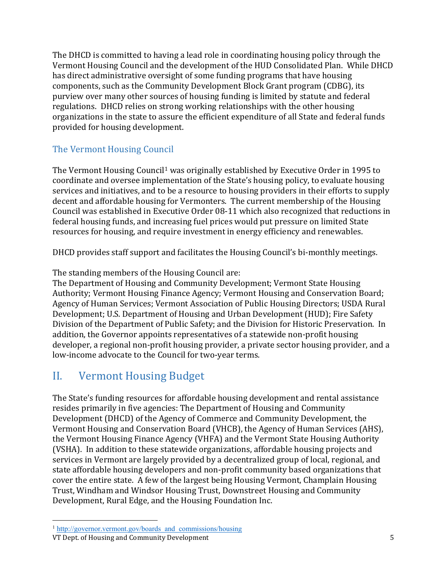The DHCD is committed to having a lead role in coordinating housing policy through the Vermont Housing Council and the development of the HUD Consolidated Plan. While DHCD has direct administrative oversight of some funding programs that have housing components, such as the Community Development Block Grant program (CDBG), its purview over many other sources of housing funding is limited by statute and federal regulations. DHCD relies on strong working relationships with the other housing organizations in the state to assure the efficient expenditure of all State and federal funds provided for housing development.

## <span id="page-5-0"></span>The Vermont Housing Council

The Vermont Housing Council<sup>[1](#page-5-2)</sup> was originally established by Executive Order in 1995 to coordinate and oversee implementation of the State's housing policy, to evaluate housing services and initiatives, and to be a resource to housing providers in their efforts to supply decent and affordable housing for Vermonters. The current membership of the Housing Council was established in Executive Order 08-11 which also recognized that reductions in federal housing funds, and increasing fuel prices would put pressure on limited State resources for housing, and require investment in energy efficiency and renewables.

DHCD provides staff support and facilitates the Housing Council's bi-monthly meetings.

The standing members of the Housing Council are:

The Department of Housing and Community Development; Vermont State Housing Authority; Vermont Housing Finance Agency; Vermont Housing and Conservation Board; Agency of Human Services; Vermont Association of Public Housing Directors; USDA Rural Development; U.S. Department of Housing and Urban Development (HUD); Fire Safety Division of the Department of Public Safety; and the Division for Historic Preservation. In addition, the Governor appoints representatives of a statewide non-profit housing developer, a regional non-profit housing provider, a private sector housing provider, and a low-income advocate to the Council for two-year terms.

# <span id="page-5-1"></span>II. Vermont Housing Budget

The State's funding resources for affordable housing development and rental assistance resides primarily in five agencies: The Department of Housing and Community Development (DHCD) of the Agency of Commerce and Community Development, the Vermont Housing and Conservation Board (VHCB), the Agency of Human Services (AHS), the Vermont Housing Finance Agency (VHFA) and the Vermont State Housing Authority (VSHA). In addition to these statewide organizations, affordable housing projects and services in Vermont are largely provided by a decentralized group of local, regional, and state affordable housing developers and non-profit community based organizations that cover the entire state. A few of the largest being Housing Vermont, Champlain Housing Trust, Windham and Windsor Housing Trust, Downstreet Housing and Community Development, Rural Edge, and the Housing Foundation Inc.

 $\overline{a}$ 

<span id="page-5-2"></span><sup>&</sup>lt;sup>1</sup> http://governor.vermont.gov/boards and commissions/housing

VT Dept. of Housing and Community Development 5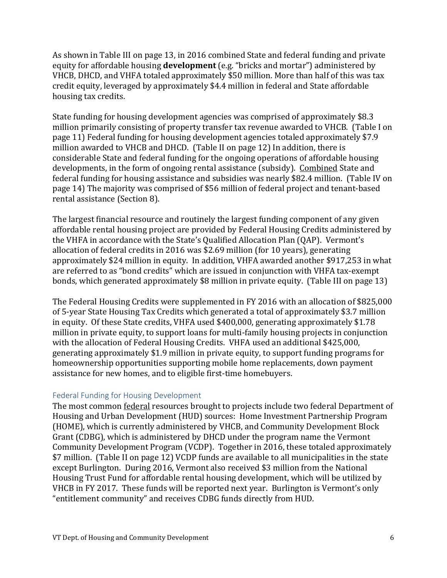As shown in Table III on page 13, in 2016 combined State and federal funding and private equity for affordable housing **development** (e.g. "bricks and mortar") administered by VHCB, DHCD, and VHFA totaled approximately \$50 million. More than half of this was tax credit equity, leveraged by approximately \$4.4 million in federal and State affordable housing tax credits.

State funding for housing development agencies was comprised of approximately \$8.3 million primarily consisting of property transfer tax revenue awarded to VHCB. (Table I on page 11) Federal funding for housing development agencies totaled approximately \$7.9 million awarded to VHCB and DHCD. (Table II on page 12) In addition, there is considerable State and federal funding for the ongoing operations of affordable housing developments, in the form of ongoing rental assistance (subsidy). Combined State and federal funding for housing assistance and subsidies was nearly \$82.4 million. (Table IV on page 14) The majority was comprised of \$56 million of federal project and tenant-based rental assistance (Section 8).

The largest financial resource and routinely the largest funding component of any given affordable rental housing project are provided by Federal Housing Credits administered by the VHFA in accordance with the State's Qualified Allocation Plan (QAP). Vermont's allocation of federal credits in 2016 was \$2.69 million (for 10 years), generating approximately \$24 million in equity. In addition, VHFA awarded another \$917,253 in what are referred to as "bond credits" which are issued in conjunction with VHFA tax-exempt bonds, which generated approximately \$8 million in private equity. (Table III on page 13)

The Federal Housing Credits were supplemented in FY 2016 with an allocation of \$825,000 of 5-year State Housing Tax Credits which generated a total of approximately \$3.7 million in equity. Of these State credits, VHFA used \$400,000, generating approximately \$1.78 million in private equity, to support loans for multi-family housing projects in conjunction with the allocation of Federal Housing Credits. VHFA used an additional \$425,000, generating approximately \$1.9 million in private equity, to support funding programs for homeownership opportunities supporting mobile home replacements, down payment assistance for new homes, and to eligible first-time homebuyers.

#### <span id="page-6-0"></span>Federal Funding for Housing Development

The most common federal resources brought to projects include two federal Department of Housing and Urban Development (HUD) sources: Home Investment Partnership Program (HOME), which is currently administered by VHCB, and Community Development Block Grant (CDBG), which is administered by DHCD under the program name the Vermont Community Development Program (VCDP). Together in 2016, these totaled approximately \$7 million. (Table II on page 12) VCDP funds are available to all municipalities in the state except Burlington. During 2016, Vermont also received \$3 million from the National Housing Trust Fund for affordable rental housing development, which will be utilized by VHCB in FY 2017. These funds will be reported next year. Burlington is Vermont's only "entitlement community" and receives CDBG funds directly from HUD.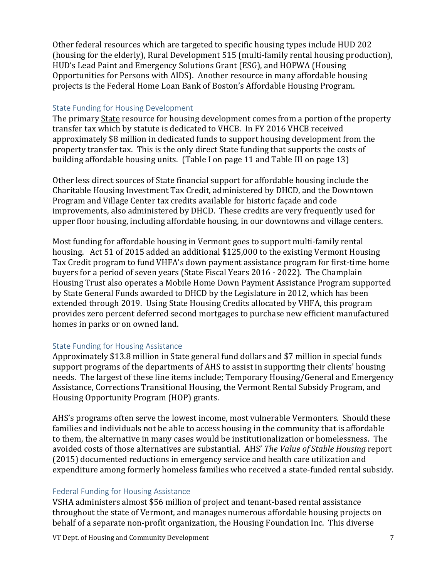Other federal resources which are targeted to specific housing types include HUD 202 (housing for the elderly), Rural Development 515 (multi-family rental housing production), HUD's Lead Paint and Emergency Solutions Grant (ESG), and HOPWA (Housing Opportunities for Persons with AIDS). Another resource in many affordable housing projects is the Federal Home Loan Bank of Boston's Affordable Housing Program.

#### <span id="page-7-0"></span>State Funding for Housing Development

The primary State resource for housing development comes from a portion of the property transfer tax which by statute is dedicated to VHCB. In FY 2016 VHCB received approximately \$8 million in dedicated funds to support housing development from the property transfer tax. This is the only direct State funding that supports the costs of building affordable housing units. (Table I on page 11 and Table III on page 13)

Other less direct sources of State financial support for affordable housing include the Charitable Housing Investment Tax Credit, administered by DHCD, and the Downtown Program and Village Center tax credits available for historic façade and code improvements, also administered by DHCD. These credits are very frequently used for upper floor housing, including affordable housing, in our downtowns and village centers.

Most funding for affordable housing in Vermont goes to support multi-family rental housing. Act 51 of 2015 added an additional \$125,000 to the existing Vermont Housing Tax Credit program to fund VHFA's down payment assistance program for first-time home buyers for a period of seven years (State Fiscal Years 2016 - 2022). The Champlain Housing Trust also operates a Mobile Home Down Payment Assistance Program supported by State General Funds awarded to DHCD by the Legislature in 2012, which has been extended through 2019. Using State Housing Credits allocated by VHFA, this program provides zero percent deferred second mortgages to purchase new efficient manufactured homes in parks or on owned land.

#### <span id="page-7-1"></span>State Funding for Housing Assistance

Approximately \$13.8 million in State general fund dollars and \$7 million in special funds support programs of the departments of AHS to assist in supporting their clients' housing needs. The largest of these line items include; Temporary Housing/General and Emergency Assistance, Corrections Transitional Housing, the Vermont Rental Subsidy Program, and Housing Opportunity Program (HOP) grants.

AHS's programs often serve the lowest income, most vulnerable Vermonters. Should these families and individuals not be able to access housing in the community that is affordable to them, the alternative in many cases would be institutionalization or homelessness. The avoided costs of those alternatives are substantial. AHS' *The Value of Stable Housing* report (2015) documented reductions in emergency service and health care utilization and expenditure among formerly homeless families who received a state-funded rental subsidy.

#### <span id="page-7-2"></span>Federal Funding for Housing Assistance

VSHA administers almost \$56 million of project and tenant-based rental assistance throughout the state of Vermont, and manages numerous affordable housing projects on behalf of a separate non-profit organization, the Housing Foundation Inc. This diverse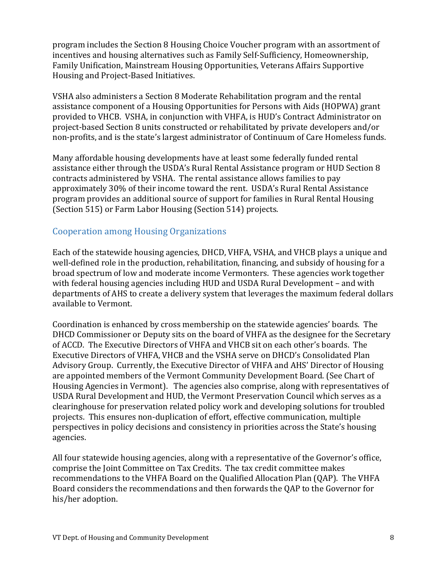program includes the Section 8 Housing Choice Voucher program with an assortment of incentives and housing alternatives such as Family Self-Sufficiency, Homeownership, Family Unification, Mainstream Housing Opportunities, Veterans Affairs Supportive Housing and Project-Based Initiatives.

VSHA also administers a Section 8 Moderate Rehabilitation program and the rental assistance component of a Housing Opportunities for Persons with Aids (HOPWA) grant provided to VHCB. VSHA, in conjunction with VHFA, is HUD's Contract Administrator on project-based Section 8 units constructed or rehabilitated by private developers and/or non-profits, and is the state's largest administrator of Continuum of Care Homeless funds.

Many affordable housing developments have at least some federally funded rental assistance either through the USDA's Rural Rental Assistance program or HUD Section 8 contracts administered by VSHA. The rental assistance allows families to pay approximately 30% of their income toward the rent. USDA's Rural Rental Assistance program provides an additional source of support for families in Rural Rental Housing (Section 515) or Farm Labor Housing (Section 514) projects.

### <span id="page-8-0"></span>Cooperation among Housing Organizations

Each of the statewide housing agencies, DHCD, VHFA, VSHA, and VHCB plays a unique and well-defined role in the production, rehabilitation, financing, and subsidy of housing for a broad spectrum of low and moderate income Vermonters. These agencies work together with federal housing agencies including HUD and USDA Rural Development – and with departments of AHS to create a delivery system that leverages the maximum federal dollars available to Vermont.

Coordination is enhanced by cross membership on the statewide agencies' boards. The DHCD Commissioner or Deputy sits on the board of VHFA as the designee for the Secretary of ACCD. The Executive Directors of VHFA and VHCB sit on each other's boards. The Executive Directors of VHFA, VHCB and the VSHA serve on DHCD's Consolidated Plan Advisory Group. Currently, the Executive Director of VHFA and AHS' Director of Housing are appointed members of the Vermont Community Development Board. (See Chart of Housing Agencies in Vermont). The agencies also comprise, along with representatives of USDA Rural Development and HUD, the Vermont Preservation Council which serves as a clearinghouse for preservation related policy work and developing solutions for troubled projects. This ensures non-duplication of effort, effective communication, multiple perspectives in policy decisions and consistency in priorities across the State's housing agencies.

All four statewide housing agencies, along with a representative of the Governor's office, comprise the Joint Committee on Tax Credits. The tax credit committee makes recommendations to the VHFA Board on the Qualified Allocation Plan (QAP). The VHFA Board considers the recommendations and then forwards the QAP to the Governor for his/her adoption.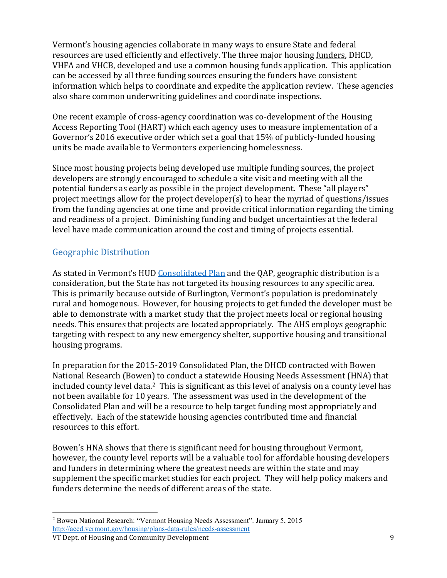Vermont's housing agencies collaborate in many ways to ensure State and federal resources are used efficiently and effectively. The three major housing funders, DHCD, VHFA and VHCB, developed and use a common housing funds application. This application can be accessed by all three funding sources ensuring the funders have consistent information which helps to coordinate and expedite the application review. These agencies also share common underwriting guidelines and coordinate inspections.

One recent example of cross-agency coordination was co-development of the Housing Access Reporting Tool (HART) which each agency uses to measure implementation of a Governor's 2016 executive order which set a goal that 15% of publicly-funded housing units be made available to Vermonters experiencing homelessness.

Since most housing projects being developed use multiple funding sources, the project developers are strongly encouraged to schedule a site visit and meeting with all the potential funders as early as possible in the project development. These "all players" project meetings allow for the project developer(s) to hear the myriad of questions/issues from the funding agencies at one time and provide critical information regarding the timing and readiness of a project. Diminishing funding and budget uncertainties at the federal level have made communication around the cost and timing of projects essential.

## <span id="page-9-0"></span>Geographic Distribution

As stated in Vermont's HUD [Consolidated Plan](http://accd.vermont.gov/housing/plans-data-rules/hud) and the QAP, geographic distribution is a consideration, but the State has not targeted its housing resources to any specific area. This is primarily because outside of Burlington, Vermont's population is predominately rural and homogenous. However, for housing projects to get funded the developer must be able to demonstrate with a market study that the project meets local or regional housing needs. This ensures that projects are located appropriately. The AHS employs geographic targeting with respect to any new emergency shelter, supportive housing and transitional housing programs.

In preparation for the 2015-2019 Consolidated Plan, the DHCD contracted with Bowen National Research (Bowen) to conduct a statewide Housing Needs Assessment (HNA) that included county level data.<sup>[2](#page-9-1)</sup> This is significant as this level of analysis on a county level has not been available for 10 years. The assessment was used in the development of the Consolidated Plan and will be a resource to help target funding most appropriately and effectively. Each of the statewide housing agencies contributed time and financial resources to this effort.

Bowen's HNA shows that there is significant need for housing throughout Vermont, however, the county level reports will be a valuable tool for affordable housing developers and funders in determining where the greatest needs are within the state and may supplement the specific market studies for each project. They will help policy makers and funders determine the needs of different areas of the state.

<span id="page-9-1"></span> $\overline{a}$ <sup>2</sup> Bowen National Research: "Vermont Housing Needs Assessment". January 5, 2015 <http://accd.vermont.gov/housing/plans-data-rules/needs-assessment>

VT Dept. of Housing and Community Development 9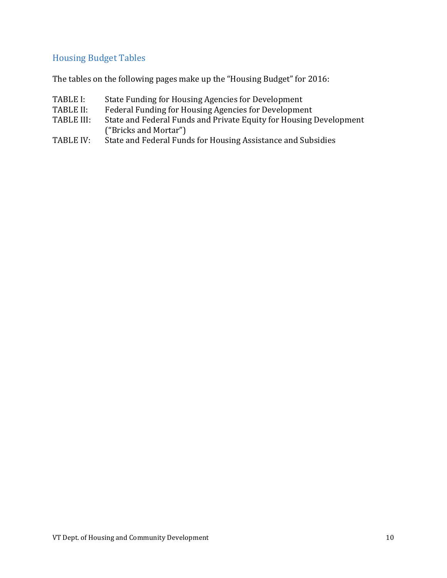## <span id="page-10-0"></span>Housing Budget Tables

The tables on the following pages make up the "Housing Budget" for 2016:

- TABLE I: State Funding for Housing Agencies for Development<br>TABLE II: Federal Funding for Housing Agencies for Developmen
- TABLE II: Federal Funding for Housing Agencies for Development<br>TABLE III: State and Federal Funds and Private Equity for Housing
- State and Federal Funds and Private Equity for Housing Development ("Bricks and Mortar")
- TABLE IV: State and Federal Funds for Housing Assistance and Subsidies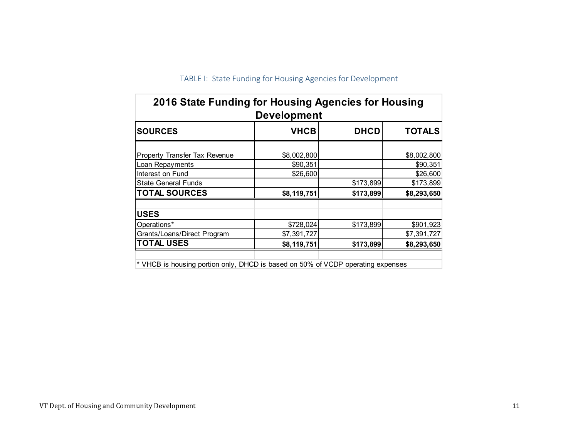<span id="page-11-0"></span>

| 2016 State Funding for Housing Agencies for Housing<br><b>Development</b>       |             |             |               |  |  |
|---------------------------------------------------------------------------------|-------------|-------------|---------------|--|--|
| <b>SOURCES</b>                                                                  | <b>VHCB</b> | <b>DHCD</b> | <b>TOTALS</b> |  |  |
| <b>Property Transfer Tax Revenue</b>                                            | \$8,002,800 |             | \$8,002,800   |  |  |
| Loan Repayments                                                                 | \$90,351    |             | \$90,351      |  |  |
| Interest on Fund                                                                | \$26,600    |             | \$26,600      |  |  |
| <b>State General Funds</b>                                                      |             | \$173,899   | \$173,899     |  |  |
| <b>TOTAL SOURCES</b>                                                            | \$8,119,751 | \$173,899   | \$8,293,650   |  |  |
| <b>USES</b>                                                                     |             |             |               |  |  |
| Operations*                                                                     | \$728,024   | \$173,899   | \$901,923     |  |  |
| Grants/Loans/Direct Program                                                     | \$7,391,727 |             | \$7,391,727   |  |  |
| <b>TOTAL USES</b>                                                               | \$8,119,751 | \$173,899   | \$8,293,650   |  |  |
| * VHCB is housing portion only, DHCD is based on 50% of VCDP operating expenses |             |             |               |  |  |

TABLE I: State Funding for Housing Agencies for Development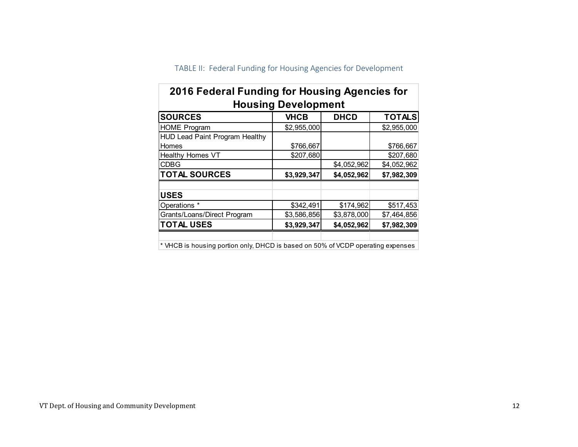<span id="page-12-0"></span>

| 2016 Federal Funding for Housing Agencies for                                   |             |             |               |  |  |
|---------------------------------------------------------------------------------|-------------|-------------|---------------|--|--|
| <b>Housing Development</b>                                                      |             |             |               |  |  |
| <b>SOURCES</b>                                                                  | <b>VHCB</b> | <b>DHCD</b> | <b>TOTALS</b> |  |  |
| <b>HOME Program</b>                                                             | \$2,955,000 |             | \$2,955,000   |  |  |
| <b>HUD Lead Paint Program Healthy</b>                                           |             |             |               |  |  |
| Homes                                                                           | \$766,667   |             | \$766,667     |  |  |
| <b>Healthy Homes VT</b>                                                         | \$207,680   |             | \$207,680     |  |  |
| CDBG                                                                            |             | \$4,052,962 | \$4,052,962   |  |  |
| <b>TOTAL SOURCES</b>                                                            | \$3,929,347 | \$4,052,962 | \$7,982,309   |  |  |
| <b>USES</b>                                                                     |             |             |               |  |  |
| Operations *                                                                    | \$342,491   | \$174,962   | \$517,453     |  |  |
| Grants/Loans/Direct Program                                                     | \$3,586,856 | \$3,878,000 | \$7,464,856   |  |  |
| <b>TOTAL USES</b>                                                               | \$3,929,347 | \$4,052,962 | \$7,982,309   |  |  |
| * VHCB is housing portion only, DHCD is based on 50% of VCDP operating expenses |             |             |               |  |  |

# TABLE II: Federal Funding for Housing Agencies for Development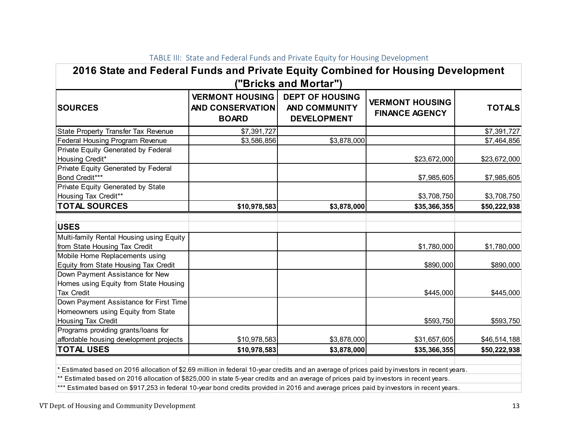<span id="page-13-0"></span>

| 2016 State and Federal Funds and Private Equity Combined for Housing Development<br>"Bricks and Mortar") |                                                                                                                                           |             |                                                 |               |
|----------------------------------------------------------------------------------------------------------|-------------------------------------------------------------------------------------------------------------------------------------------|-------------|-------------------------------------------------|---------------|
| <b>SOURCES</b>                                                                                           | <b>VERMONT HOUSING</b><br><b>DEPT OF HOUSING</b><br><b>AND CONSERVATION</b><br><b>AND COMMUNITY</b><br><b>DEVELOPMENT</b><br><b>BOARD</b> |             | <b>VERMONT HOUSING</b><br><b>FINANCE AGENCY</b> | <b>TOTALS</b> |
| State Property Transfer Tax Revenue                                                                      | \$7,391,727                                                                                                                               |             |                                                 | \$7,391,727   |
| Federal Housing Program Revenue                                                                          | \$3,586,856                                                                                                                               | \$3,878,000 |                                                 | \$7,464,856   |
| Private Equity Generated by Federal<br>Housing Credit*                                                   |                                                                                                                                           |             | \$23,672,000                                    | \$23,672,000  |
| Private Equity Generated by Federal<br>Bond Credit***                                                    |                                                                                                                                           |             | \$7,985,605                                     | \$7,985,605   |
| Private Equity Generated by State<br>Housing Tax Credit**                                                |                                                                                                                                           |             | \$3,708,750                                     | \$3,708,750   |
| <b>TOTAL SOURCES</b>                                                                                     | \$10,978,583                                                                                                                              | \$3,878,000 | \$35,366,355                                    | \$50,222,938  |
| <b>USES</b><br>Multi-family Rental Housing using Equity                                                  |                                                                                                                                           |             |                                                 |               |
| from State Housing Tax Credit                                                                            |                                                                                                                                           |             | \$1,780,000                                     | \$1,780,000   |
| Mobile Home Replacements using<br>Equity from State Housing Tax Credit                                   |                                                                                                                                           |             | \$890,000                                       | \$890,000     |
| Down Payment Assistance for New<br>Homes using Equity from State Housing<br><b>Tax Credit</b>            |                                                                                                                                           |             | \$445,000                                       | \$445,000     |
| Down Payment Assistance for First Time<br>Homeowners using Equity from State<br>Housing Tax Credit       |                                                                                                                                           |             | \$593,750                                       | \$593,750     |
| Programs providing grants/loans for<br>affordable housing development projects                           | \$10,978,583                                                                                                                              | \$3,878,000 | \$31,657,605                                    | \$46,514,188  |
| <b>TOTAL USES</b>                                                                                        | \$10,978,583                                                                                                                              | \$3,878,000 | \$35,366,355                                    | \$50,222,938  |

TABLE III: State and Federal Funds and Private Equity for Housing Development

\* Estimated based on 2016 allocation of \$2.69 million in federal 10-year credits and an average of prices paid by investors in recent years.

\*\* Estimated based on 2016 allocation of \$825,000 in state 5-year credits and an average of prices paid by investors in recent years.

\*\*\* Estimated based on \$917,253 in federal 10-year bond credits provided in 2016 and average prices paid by investors in recent years.

VT Dept. of Housing and Community Development 13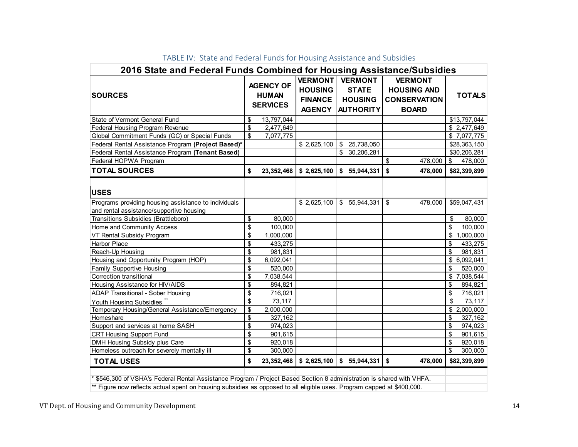<span id="page-14-0"></span>

| 2016 State and Federal Funds Combined for Housing Assistance/Subsidies                                                |                         |                                                     |                                                                     |              |                                                                      |                                                                             |                            |
|-----------------------------------------------------------------------------------------------------------------------|-------------------------|-----------------------------------------------------|---------------------------------------------------------------------|--------------|----------------------------------------------------------------------|-----------------------------------------------------------------------------|----------------------------|
| <b>SOURCES</b>                                                                                                        |                         | <b>AGENCY OF</b><br><b>HUMAN</b><br><b>SERVICES</b> | <b>VERMONT</b><br><b>HOUSING</b><br><b>FINANCE</b><br><b>AGENCY</b> |              | <b>VERMONT</b><br><b>STATE</b><br><b>HOUSING</b><br><b>AUTHORITY</b> | <b>VERMONT</b><br><b>HOUSING AND</b><br><b>CONSERVATION</b><br><b>BOARD</b> | <b>TOTALS</b>              |
| State of Vermont General Fund                                                                                         | \$                      | 13,797,044                                          |                                                                     |              |                                                                      |                                                                             | \$13,797,044               |
| Federal Housing Program Revenue                                                                                       | \$                      | 2,477,649                                           |                                                                     |              |                                                                      |                                                                             | \$2,477,649                |
| Global Commitment Funds (GC) or Special Funds                                                                         | \$                      | 7,077,775                                           |                                                                     |              |                                                                      |                                                                             | \$7,077,775                |
| Federal Rental Assistance Program (Project Based)*                                                                    |                         |                                                     | \$2,625,100                                                         | \$           | 25,738,050                                                           |                                                                             | \$28,363,150               |
| Federal Rental Assistance Program (Tenant Based)                                                                      |                         |                                                     |                                                                     |              | \$ 30,206,281                                                        |                                                                             | \$30,206,281               |
| Federal HOPWA Program                                                                                                 |                         |                                                     |                                                                     |              |                                                                      | \$<br>478,000                                                               | \$<br>478,000              |
| <b>TOTAL SOURCES</b>                                                                                                  | \$                      | 23, 352, 468                                        | $\frac{1}{2}$ \$ 2,625,100                                          |              | \$5,944,331                                                          | \$<br>478,000                                                               | \$82,399,899               |
| <b>USES</b><br>Programs providing housing assistance to individuals                                                   |                         |                                                     | \$2,625,100                                                         | $\mathbb{S}$ | 55,944,331                                                           | \$<br>478,000                                                               | \$59,047,431               |
|                                                                                                                       |                         |                                                     |                                                                     |              |                                                                      |                                                                             |                            |
| and rental assistance/supportive housing                                                                              |                         |                                                     |                                                                     |              |                                                                      |                                                                             |                            |
| Transitions Subsidies (Brattleboro)                                                                                   | \$                      | 80,000                                              |                                                                     |              |                                                                      |                                                                             | 80,000<br>\$               |
| Home and Community Access                                                                                             | \$<br>\$                | 100,000                                             |                                                                     |              |                                                                      |                                                                             | \$<br>100,000<br>\$        |
| VT Rental Subsidy Program                                                                                             | $\overline{\mathbf{S}}$ | 1,000,000                                           |                                                                     |              |                                                                      |                                                                             | 1,000,000                  |
| <b>Harbor Place</b>                                                                                                   | \$                      | 433,275                                             |                                                                     |              |                                                                      |                                                                             | \$<br>433,275<br>\$        |
| Reach-Up Housing                                                                                                      | \$                      | 981,831                                             |                                                                     |              |                                                                      |                                                                             | 981,831                    |
| Housing and Opportunity Program (HOP)                                                                                 | \$                      | 6,092,041                                           |                                                                     |              |                                                                      |                                                                             | \$6,092,041                |
| <b>Family Supportive Housing</b><br>Correction transitional                                                           | \$                      | 520,000<br>7,038,544                                |                                                                     |              |                                                                      |                                                                             | \$<br>520,000<br>7,038,544 |
|                                                                                                                       | \$                      | 894,821                                             |                                                                     |              |                                                                      |                                                                             | \$<br>\$<br>894,821        |
| Housing Assistance for HIV/AIDS<br>ADAP Transitional - Sober Housing                                                  | \$                      | 716,021                                             |                                                                     |              |                                                                      |                                                                             | \$<br>716,021              |
| Youth Housing Subsidies                                                                                               | \$                      | 73,117                                              |                                                                     |              |                                                                      |                                                                             | \$<br>73,117               |
| Temporary Housing/General Assistance/Emergency                                                                        | \$                      | 2,000,000                                           |                                                                     |              |                                                                      |                                                                             | \$2,000,000                |
| Homeshare                                                                                                             | \$                      | 327,162                                             |                                                                     |              |                                                                      |                                                                             | \$<br>327,162              |
| Support and services at home SASH                                                                                     | \$                      | 974,023                                             |                                                                     |              |                                                                      |                                                                             | \$<br>974,023              |
| <b>CRT Housing Support Fund</b>                                                                                       | $\overline{\mathsf{s}}$ | 901,615                                             |                                                                     |              |                                                                      |                                                                             | \$<br>901,615              |
| DMH Housing Subsidy plus Care                                                                                         | \$                      | 920,018                                             |                                                                     |              |                                                                      |                                                                             | \$<br>920,018              |
| Homeless outreach for severely mentally ill                                                                           | \$                      | 300,000                                             |                                                                     |              |                                                                      |                                                                             | \$<br>300,000              |
|                                                                                                                       |                         |                                                     |                                                                     |              |                                                                      |                                                                             |                            |
| <b>TOTAL USES</b>                                                                                                     | \$                      | 23, 352, 468                                        | \$2,625,100                                                         |              | \$5,944,331                                                          | \$<br>478,000                                                               | \$82,399,899               |
| * \$546,300 of VSHA's Federal Rental Assistance Program / Project Based Section 8 administration is shared with VHFA. |                         |                                                     |                                                                     |              |                                                                      |                                                                             |                            |

#### TABLE IV: State and Federal Funds for Housing Assistance and Subsidies

\*\* Figure now reflects actual spent on housing subsidies as opposed to all eligible uses. Program capped at \$400,000.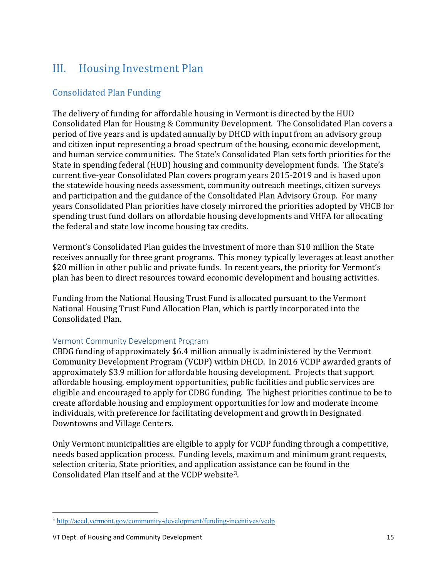# <span id="page-15-0"></span>III. Housing Investment Plan

## <span id="page-15-1"></span>Consolidated Plan Funding

The delivery of funding for affordable housing in Vermont is directed by the HUD Consolidated Plan for Housing & Community Development. The Consolidated Plan covers a period of five years and is updated annually by DHCD with input from an advisory group and citizen input representing a broad spectrum of the housing, economic development, and human service communities. The State's Consolidated Plan sets forth priorities for the State in spending federal (HUD) housing and community development funds. The State's current five-year Consolidated Plan covers program years 2015-2019 and is based upon the statewide housing needs assessment, community outreach meetings, citizen surveys and participation and the guidance of the Consolidated Plan Advisory Group. For many years Consolidated Plan priorities have closely mirrored the priorities adopted by VHCB for spending trust fund dollars on affordable housing developments and VHFA for allocating the federal and state low income housing tax credits.

Vermont's Consolidated Plan guides the investment of more than \$10 million the State receives annually for three grant programs. This money typically leverages at least another \$20 million in other public and private funds. In recent years, the priority for Vermont's plan has been to direct resources toward economic development and housing activities.

Funding from the National Housing Trust Fund is allocated pursuant to the Vermont National Housing Trust Fund Allocation Plan, which is partly incorporated into the Consolidated Plan.

#### <span id="page-15-2"></span>Vermont Community Development Program

CBDG funding of approximately \$6.4 million annually is administered by the Vermont Community Development Program (VCDP) within DHCD. In 2016 VCDP awarded grants of approximately \$3.9 million for affordable housing development. Projects that support affordable housing, employment opportunities, public facilities and public services are eligible and encouraged to apply for CDBG funding. The highest priorities continue to be to create affordable housing and employment opportunities for low and moderate income individuals, with preference for facilitating development and growth in Designated Downtowns and Village Centers.

Only Vermont municipalities are eligible to apply for VCDP funding through a competitive, needs based application process. Funding levels, maximum and minimum grant requests, selection criteria, State priorities, and application assistance can be found in the Consolidated Plan itself and at the VCDP website[3.](#page-15-3)

<span id="page-15-3"></span> $\overline{a}$ <sup>3</sup> <http://accd.vermont.gov/community-development/funding-incentives/vcdp>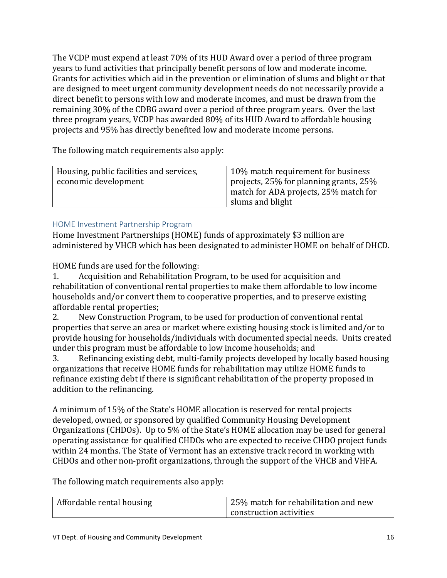The VCDP must expend at least 70% of its HUD Award over a period of three program years to fund activities that principally benefit persons of low and moderate income. Grants for activities which aid in the prevention or elimination of slums and blight or that are designed to meet urgent community development needs do not necessarily provide a direct benefit to persons with low and moderate incomes, and must be drawn from the remaining 30% of the CDBG award over a period of three program years. Over the last three program years, VCDP has awarded 80% of its HUD Award to affordable housing projects and 95% has directly benefited low and moderate income persons.

The following match requirements also apply:

| Housing, public facilities and services, | 10% match requirement for business     |
|------------------------------------------|----------------------------------------|
| economic development                     | projects, 25% for planning grants, 25% |
|                                          | match for ADA projects, 25% match for  |
|                                          | slums and blight                       |

#### <span id="page-16-0"></span>HOME Investment Partnership Program

Home Investment Partnerships (HOME) funds of approximately \$3 million are administered by VHCB which has been designated to administer HOME on behalf of DHCD.

HOME funds are used for the following:<br>1. Acquisition and Rehabilitation Pi

1. Acquisition and Rehabilitation Program, to be used for acquisition and rehabilitation of conventional rental properties to make them affordable to low income households and/or convert them to cooperative properties, and to preserve existing affordable rental properties;<br>2. New Construction Pro

2. New Construction Program, to be used for production of conventional rental properties that serve an area or market where existing housing stock is limited and/or to provide housing for households/individuals with documented special needs. Units created

under this program must be affordable to low income households; and<br>3. Refinancing existing debt. multi-family projects developed by low Refinancing existing debt, multi-family projects developed by locally based housing organizations that receive HOME funds for rehabilitation may utilize HOME funds to refinance existing debt if there is significant rehabilitation of the property proposed in addition to the refinancing.

A minimum of 15% of the State's HOME allocation is reserved for rental projects developed, owned, or sponsored by qualified Community Housing Development Organizations (CHDOs). Up to 5% of the State's HOME allocation may be used for general operating assistance for qualified CHDOs who are expected to receive CHDO project funds within 24 months. The State of Vermont has an extensive track record in working with CHDOs and other non-profit organizations, through the support of the VHCB and VHFA.

The following match requirements also apply:

| Affordable rental housing | 25% match for rehabilitation and new |
|---------------------------|--------------------------------------|
|                           | construction activities              |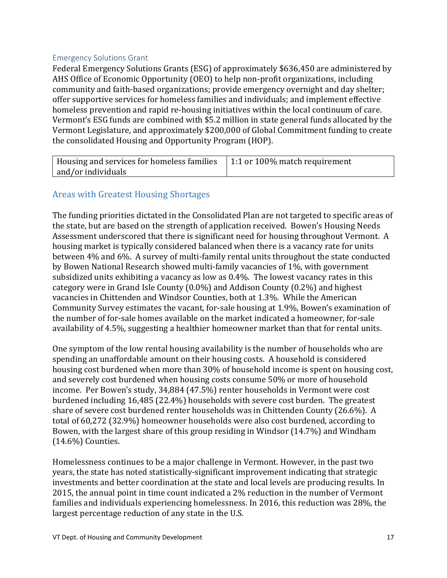#### <span id="page-17-0"></span>Emergency Solutions Grant

Federal Emergency Solutions Grants (ESG) of approximately \$636,450 are administered by AHS Office of Economic Opportunity (OEO) to help non-profit organizations, including community and faith-based organizations; provide emergency overnight and day shelter; offer supportive services for homeless families and individuals; and implement effective homeless prevention and rapid re-housing initiatives within the local continuum of care. Vermont's ESG funds are combined with \$5.2 million in state general funds allocated by the Vermont Legislature, and approximately \$200,000 of Global Commitment funding to create the consolidated Housing and Opportunity Program (HOP).

| $\vert$ Housing and services for homeless families $\vert$ 1:1 or 100% match requirement |  |
|------------------------------------------------------------------------------------------|--|
| and/or individuals                                                                       |  |

### <span id="page-17-1"></span>Areas with Greatest Housing Shortages

The funding priorities dictated in the Consolidated Plan are not targeted to specific areas of the state, but are based on the strength of application received. Bowen's Housing Needs Assessment underscored that there is significant need for housing throughout Vermont. A housing market is typically considered balanced when there is a vacancy rate for units between 4% and 6%. A survey of multi-family rental units throughout the state conducted by Bowen National Research showed multi-family vacancies of 1%, with government subsidized units exhibiting a vacancy as low as 0.4%. The lowest vacancy rates in this category were in Grand Isle County (0.0%) and Addison County (0.2%) and highest vacancies in Chittenden and Windsor Counties, both at 1.3%. While the American Community Survey estimates the vacant, for-sale housing at 1.9%, Bowen's examination of the number of for-sale homes available on the market indicated a homeowner, for-sale availability of 4.5%, suggesting a healthier homeowner market than that for rental units.

One symptom of the low rental housing availability is the number of households who are spending an unaffordable amount on their housing costs. A household is considered housing cost burdened when more than 30% of household income is spent on housing cost, and severely cost burdened when housing costs consume 50% or more of household income. Per Bowen's study, 34,884 (47.5%) renter households in Vermont were cost burdened including 16,485 (22.4%) households with severe cost burden. The greatest share of severe cost burdened renter households was in Chittenden County (26.6%). A total of 60,272 (32.9%) homeowner households were also cost burdened, according to Bowen, with the largest share of this group residing in Windsor (14.7%) and Windham (14.6%) Counties.

Homelessness continues to be a major challenge in Vermont. However, in the past two years, the state has noted statistically-significant improvement indicating that strategic investments and better coordination at the state and local levels are producing results. In 2015, the annual point in time count indicated a 2% reduction in the number of Vermont families and individuals experiencing homelessness. In 2016, this reduction was 28%, the largest percentage reduction of any state in the U.S.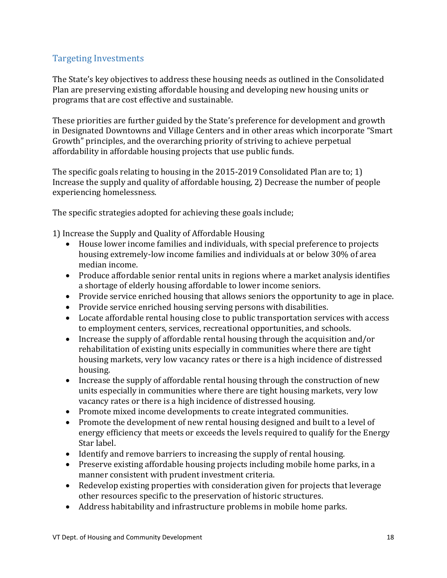## <span id="page-18-0"></span>Targeting Investments

The State's key objectives to address these housing needs as outlined in the Consolidated Plan are preserving existing affordable housing and developing new housing units or programs that are cost effective and sustainable.

These priorities are further guided by the State's preference for development and growth in Designated Downtowns and Village Centers and in other areas which incorporate "Smart Growth" principles, and the overarching priority of striving to achieve perpetual affordability in affordable housing projects that use public funds.

The specific goals relating to housing in the 2015-2019 Consolidated Plan are to; 1) Increase the supply and quality of affordable housing, 2) Decrease the number of people experiencing homelessness.

The specific strategies adopted for achieving these goals include;

1) Increase the Supply and Quality of Affordable Housing

- House lower income families and individuals, with special preference to projects housing extremely-low income families and individuals at or below 30% of area median income.
- Produce affordable senior rental units in regions where a market analysis identifies a shortage of elderly housing affordable to lower income seniors.
- Provide service enriched housing that allows seniors the opportunity to age in place.
- Provide service enriched housing serving persons with disabilities.
- Locate affordable rental housing close to public transportation services with access to employment centers, services, recreational opportunities, and schools.
- Increase the supply of affordable rental housing through the acquisition and/or rehabilitation of existing units especially in communities where there are tight housing markets, very low vacancy rates or there is a high incidence of distressed housing.
- Increase the supply of affordable rental housing through the construction of new units especially in communities where there are tight housing markets, very low vacancy rates or there is a high incidence of distressed housing.
- Promote mixed income developments to create integrated communities.
- Promote the development of new rental housing designed and built to a level of energy efficiency that meets or exceeds the levels required to qualify for the Energy Star label.
- Identify and remove barriers to increasing the supply of rental housing.
- Preserve existing affordable housing projects including mobile home parks, in a manner consistent with prudent investment criteria.
- Redevelop existing properties with consideration given for projects that leverage other resources specific to the preservation of historic structures.
- Address habitability and infrastructure problems in mobile home parks.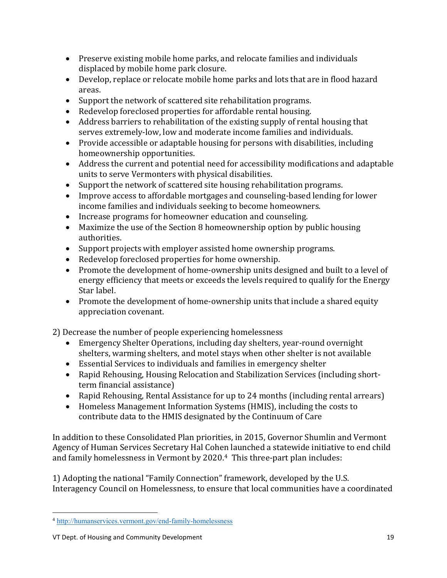- Preserve existing mobile home parks, and relocate families and individuals displaced by mobile home park closure.
- Develop, replace or relocate mobile home parks and lots that are in flood hazard areas.
- Support the network of scattered site rehabilitation programs.
- Redevelop foreclosed properties for affordable rental housing.
- Address barriers to rehabilitation of the existing supply of rental housing that serves extremely-low, low and moderate income families and individuals.
- Provide accessible or adaptable housing for persons with disabilities, including homeownership opportunities.
- Address the current and potential need for accessibility modifications and adaptable units to serve Vermonters with physical disabilities.
- Support the network of scattered site housing rehabilitation programs.
- Improve access to affordable mortgages and counseling-based lending for lower income families and individuals seeking to become homeowners.
- Increase programs for homeowner education and counseling.
- Maximize the use of the Section 8 homeownership option by public housing authorities.
- Support projects with employer assisted home ownership programs.
- Redevelop foreclosed properties for home ownership.
- Promote the development of home-ownership units designed and built to a level of energy efficiency that meets or exceeds the levels required to qualify for the Energy Star label.
- Promote the development of home-ownership units that include a shared equity appreciation covenant.

2) Decrease the number of people experiencing homelessness

- Emergency Shelter Operations, including day shelters, year-round overnight shelters, warming shelters, and motel stays when other shelter is not available
- Essential Services to individuals and families in emergency shelter
- Rapid Rehousing, Housing Relocation and Stabilization Services (including shortterm financial assistance)
- Rapid Rehousing, Rental Assistance for up to 24 months (including rental arrears)
- Homeless Management Information Systems (HMIS), including the costs to contribute data to the HMIS designated by the Continuum of Care

In addition to these Consolidated Plan priorities, in 2015, Governor Shumlin and Vermont Agency of Human Services Secretary Hal Cohen launched a statewide initiative to end child and family homelessness in Vermont by 2020.<sup>[4](#page-19-0)</sup> This three-part plan includes:

1) Adopting the national "Family Connection" framework, developed by the U.S. Interagency Council on Homelessness, to ensure that local communities have a coordinated

<span id="page-19-0"></span> $\overline{a}$ <sup>4</sup> <http://humanservices.vermont.gov/end-family-homelessness>

VT Dept. of Housing and Community Development 19 19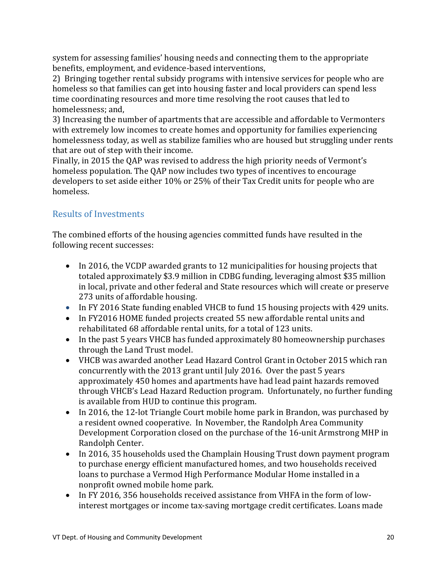system for assessing families' housing needs and connecting them to the appropriate benefits, employment, and evidence-based interventions,

2) Bringing together rental subsidy programs with intensive services for people who are homeless so that families can get into housing faster and local providers can spend less time coordinating resources and more time resolving the root causes that led to homelessness; and,

3) Increasing the number of apartments that are accessible and affordable to Vermonters with extremely low incomes to create homes and opportunity for families experiencing homelessness today, as well as stabilize families who are housed but struggling under rents that are out of step with their income.

Finally, in 2015 the QAP was revised to address the high priority needs of Vermont's homeless population. The QAP now includes two types of incentives to encourage developers to set aside either 10% or 25% of their Tax Credit units for people who are homeless.

## <span id="page-20-0"></span>Results of Investments

The combined efforts of the housing agencies committed funds have resulted in the following recent successes:

- In 2016, the VCDP awarded grants to 12 municipalities for housing projects that totaled approximately \$3.9 million in CDBG funding, leveraging almost \$35 million in local, private and other federal and State resources which will create or preserve 273 units of affordable housing.
- In FY 2016 State funding enabled VHCB to fund 15 housing projects with 429 units.
- In FY2016 HOME funded projects created 55 new affordable rental units and rehabilitated 68 affordable rental units, for a total of 123 units.
- In the past 5 years VHCB has funded approximately 80 homeownership purchases through the Land Trust model.
- VHCB was awarded another Lead Hazard Control Grant in October 2015 which ran concurrently with the 2013 grant until July 2016. Over the past 5 years approximately 450 homes and apartments have had lead paint hazards removed through VHCB's Lead Hazard Reduction program. Unfortunately, no further funding is available from HUD to continue this program.
- In 2016, the 12-lot Triangle Court mobile home park in Brandon, was purchased by a resident owned cooperative. In November, the Randolph Area Community Development Corporation closed on the purchase of the 16-unit Armstrong MHP in Randolph Center.
- In 2016, 35 households used the Champlain Housing Trust down payment program to purchase energy efficient manufactured homes, and two households received loans to purchase a Vermod High Performance Modular Home installed in a nonprofit owned mobile home park.
- In FY 2016, 356 households received assistance from VHFA in the form of lowinterest mortgages or income tax-saving mortgage credit certificates. Loans made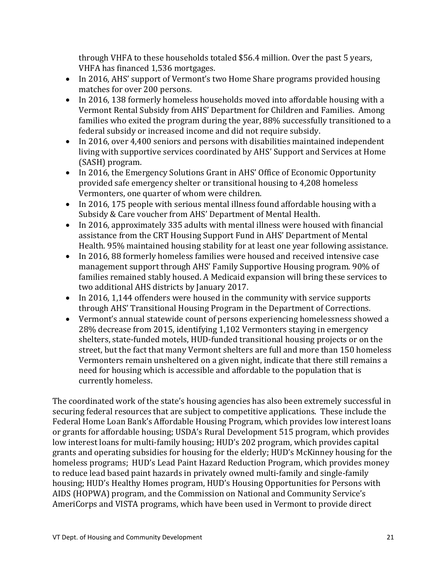through VHFA to these households totaled \$56.4 million. Over the past 5 years, VHFA has financed 1,536 mortgages.

- In 2016, AHS' support of Vermont's two Home Share programs provided housing matches for over 200 persons.
- In 2016, 138 formerly homeless households moved into affordable housing with a Vermont Rental Subsidy from AHS' Department for Children and Families. Among families who exited the program during the year, 88% successfully transitioned to a federal subsidy or increased income and did not require subsidy.
- In 2016, over 4,400 seniors and persons with disabilities maintained independent living with supportive services coordinated by AHS' Support and Services at Home (SASH) program.
- In 2016, the Emergency Solutions Grant in AHS' Office of Economic Opportunity provided safe emergency shelter or transitional housing to 4,208 homeless Vermonters, one quarter of whom were children.
- In 2016, 175 people with serious mental illness found affordable housing with a Subsidy & Care voucher from AHS' Department of Mental Health.
- In 2016, approximately 335 adults with mental illness were housed with financial assistance from the CRT Housing Support Fund in AHS' Department of Mental Health. 95% maintained housing stability for at least one year following assistance.
- In 2016, 88 formerly homeless families were housed and received intensive case management support through AHS' Family Supportive Housing program. 90% of families remained stably housed. A Medicaid expansion will bring these services to two additional AHS districts by January 2017.
- In 2016, 1,144 offenders were housed in the community with service supports through AHS' Transitional Housing Program in the Department of Corrections.
- Vermont's annual statewide count of persons experiencing homelessness showed a 28% decrease from 2015, identifying 1,102 Vermonters staying in emergency shelters, state-funded motels, HUD-funded transitional housing projects or on the street, but the fact that many Vermont shelters are full and more than 150 homeless Vermonters remain unsheltered on a given night, indicate that there still remains a need for housing which is accessible and affordable to the population that is currently homeless.

The coordinated work of the state's housing agencies has also been extremely successful in securing federal resources that are subject to competitive applications. These include the Federal Home Loan Bank's Affordable Housing Program, which provides low interest loans or grants for affordable housing; USDA's Rural Development 515 program, which provides low interest loans for multi-family housing; HUD's 202 program, which provides capital grants and operating subsidies for housing for the elderly; HUD's McKinney housing for the homeless programs; HUD's Lead Paint Hazard Reduction Program, which provides money to reduce lead based paint hazards in privately owned multi-family and single-family housing; HUD's Healthy Homes program, HUD's Housing Opportunities for Persons with AIDS (HOPWA) program, and the Commission on National and Community Service's AmeriCorps and VISTA programs, which have been used in Vermont to provide direct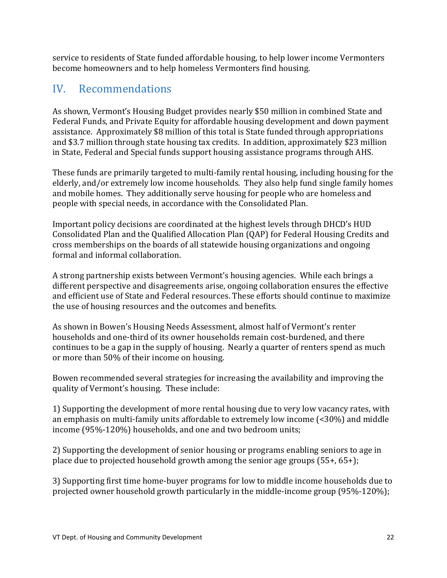service to residents of State funded affordable housing, to help lower income Vermonters become homeowners and to help homeless Vermonters find housing.

# <span id="page-22-0"></span>IV. Recommendations

As shown, Vermont's Housing Budget provides nearly \$50 million in combined State and Federal Funds, and Private Equity for affordable housing development and down payment assistance. Approximately \$8 million of this total is State funded through appropriations and \$3.7 million through state housing tax credits. In addition, approximately \$23 million in State, Federal and Special funds support housing assistance programs through AHS.

These funds are primarily targeted to multi-family rental housing, including housing for the elderly, and/or extremely low income households. They also help fund single family homes and mobile homes. They additionally serve housing for people who are homeless and people with special needs, in accordance with the Consolidated Plan.

Important policy decisions are coordinated at the highest levels through DHCD's HUD Consolidated Plan and the Qualified Allocation Plan (QAP) for Federal Housing Credits and cross memberships on the boards of all statewide housing organizations and ongoing formal and informal collaboration.

A strong partnership exists between Vermont's housing agencies. While each brings a different perspective and disagreements arise, ongoing collaboration ensures the effective and efficient use of State and Federal resources. These efforts should continue to maximize the use of housing resources and the outcomes and benefits.

As shown in Bowen's Housing Needs Assessment, almost half of Vermont's renter households and one-third of its owner households remain cost-burdened, and there continues to be a gap in the supply of housing. Nearly a quarter of renters spend as much or more than 50% of their income on housing.

Bowen recommended several strategies for increasing the availability and improving the quality of Vermont's housing. These include:

1) Supporting the development of more rental housing due to very low vacancy rates, with an emphasis on multi-family units affordable to extremely low income (<30%) and middle income (95%-120%) households, and one and two bedroom units;

2) Supporting the development of senior housing or programs enabling seniors to age in place due to projected household growth among the senior age groups (55+, 65+);

3) Supporting first time home-buyer programs for low to middle income households due to projected owner household growth particularly in the middle-income group (95%-120%);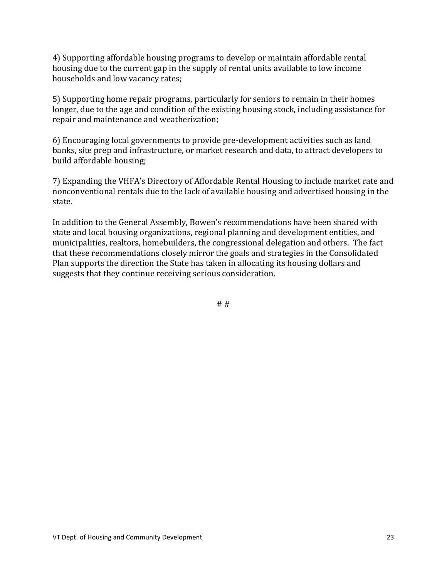4) Supporting affordable housing programs to develop or maintain affordable rental housing due to the current gap in the supply of rental units available to low income households and low vacancy rates;

5) Supporting home repair programs, particularly for seniors to remain in their homes longer, due to the age and condition of the existing housing stock, including assistance for repair and maintenance and weatherization;

6) Encouraging local governments to provide pre-development activities such as land banks, site prep and infrastructure, or market research and data, to attract developers to build affordable housing;

7) Expanding the VHFA's Directory of Affordable Rental Housing to include market rate and nonconventional rentals due to the lack of available housing and advertised housing in the state.

In addition to the General Assembly, Bowen's recommendations have been shared with state and local housing organizations, regional planning and development entities, and municipalities, realtors, homebuilders, the congressional delegation and others. The fact that these recommendations closely mirror the goals and strategies in the Consolidated Plan supports the direction the State has taken in allocating its housing dollars and suggests that they continue receiving serious consideration.

# #